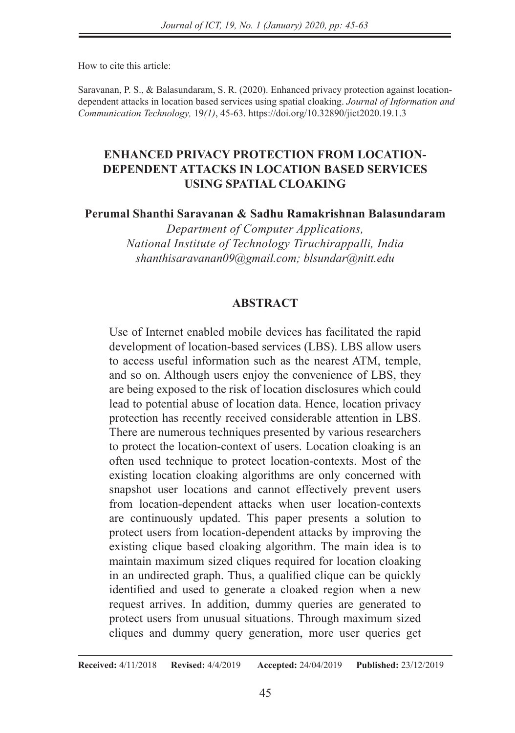How to cite this article:

Saravanan, P. S., & Balasundaram, S. R. (2020). Enhanced privacy protection against locationdependent attacks in location based services using spatial cloaking. *Journal of Information and Communication Technology,* 19*(1)*, 45-63. https://doi.org/10.32890/jict2020.19.1.3

# **ENHANCED PRIVACY PROTECTION FROM LOCATION-DEPENDENT ATTACKS IN LOCATION BASED SERVICES USING SPATIAL CLOAKING**

**Perumal Shanthi Saravanan & Sadhu Ramakrishnan Balasundaram**

*Department of Computer Applications, National Institute of Technology Tiruchirappalli, India shanthisaravanan09@gmail.com; blsundar@nitt.edu*

### **ABSTRACT**

Use of Internet enabled mobile devices has facilitated the rapid development of location-based services (LBS). LBS allow users to access useful information such as the nearest ATM, temple, and so on. Although users enjoy the convenience of LBS, they are being exposed to the risk of location disclosures which could lead to potential abuse of location data. Hence, location privacy protection has recently received considerable attention in LBS. There are numerous techniques presented by various researchers to protect the location-context of users. Location cloaking is an often used technique to protect location-contexts. Most of the existing location cloaking algorithms are only concerned with snapshot user locations and cannot effectively prevent users from location-dependent attacks when user location-contexts are continuously updated. This paper presents a solution to protect users from location-dependent attacks by improving the existing clique based cloaking algorithm. The main idea is to maintain maximum sized cliques required for location cloaking in an undirected graph. Thus, a qualified clique can be quickly identified and used to generate a cloaked region when a new request arrives. In addition, dummy queries are generated to protect users from unusual situations. Through maximum sized cliques and dummy query generation, more user queries get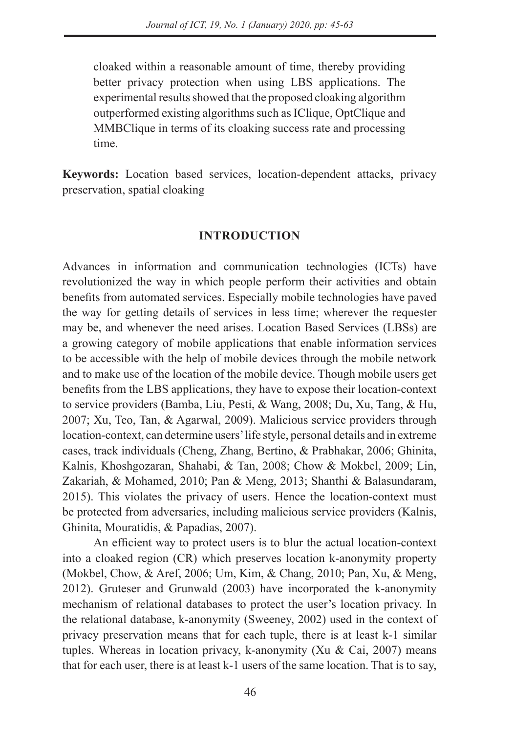cloaked within a reasonable amount of time, thereby providing better privacy protection when using LBS applications. The experimental results showed that the proposed cloaking algorithm outperformed existing algorithms such as IClique, OptClique and MMBClique in terms of its cloaking success rate and processing time.

**Keywords:** Location based services, location-dependent attacks, privacy preservation, spatial cloaking

### **INTRODUCTION**

Advances in information and communication technologies (ICTs) have revolutionized the way in which people perform their activities and obtain benefits from automated services. Especially mobile technologies have paved the way for getting details of services in less time; wherever the requester may be, and whenever the need arises. Location Based Services (LBSs) are a growing category of mobile applications that enable information services to be accessible with the help of mobile devices through the mobile network and to make use of the location of the mobile device. Though mobile users get benefits from the LBS applications, they have to expose their location-context to service providers (Bamba, Liu, Pesti, & Wang, 2008; Du, Xu, Tang, & Hu, 2007; Xu, Teo, Tan, & Agarwal, 2009). Malicious service providers through location-context, can determine users' life style, personal details and in extreme cases, track individuals (Cheng, Zhang, Bertino, & Prabhakar, 2006; Ghinita, Kalnis, Khoshgozaran, Shahabi, & Tan, 2008; Chow & Mokbel, 2009; Lin, Zakariah, & Mohamed, 2010; Pan & Meng, 2013; Shanthi & Balasundaram, 2015). This violates the privacy of users. Hence the location-context must be protected from adversaries, including malicious service providers (Kalnis, Ghinita, Mouratidis, & Papadias, 2007).

An efficient way to protect users is to blur the actual location-context into a cloaked region (CR) which preserves location k-anonymity property (Mokbel, Chow, & Aref, 2006; Um, Kim, & Chang, 2010; Pan, Xu, & Meng, 2012). Gruteser and Grunwald (2003) have incorporated the k-anonymity mechanism of relational databases to protect the user's location privacy. In the relational database, k-anonymity (Sweeney, 2002) used in the context of privacy preservation means that for each tuple, there is at least k-1 similar tuples. Whereas in location privacy, k-anonymity (Xu & Cai, 2007) means that for each user, there is at least k-1 users of the same location. That is to say,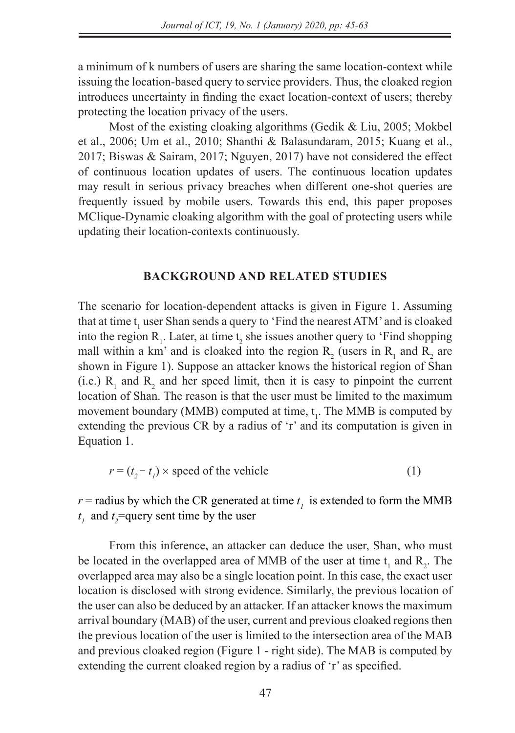a minimum of k numbers of users are sharing the same location-context while issuing the location-based query to service providers. Thus, the cloaked region introduces uncertainty in finding the exact location-context of users; thereby protecting the location privacy of the users.

Most of the existing cloaking algorithms (Gedik & Liu, 2005; Mokbel et al., 2006; Um et al., 2010; Shanthi & Balasundaram, 2015; Kuang et al., 2017; Biswas & Sairam, 2017; Nguyen, 2017) have not considered the effect of continuous location updates of users. The continuous location updates may result in serious privacy breaches when different one-shot queries are frequently issued by mobile users. Towards this end, this paper proposes MClique-Dynamic cloaking algorithm with the goal of protecting users while updating their location-contexts continuously.

### **BACKGROUND AND RELATED STUDIES**

The scenario for location-dependent attacks is given in Figure 1. Assuming that at time  $t_1$  user Shan sends a query to 'Find the nearest ATM' and is cloaked into the region  $R_1$ . Later, at time  $t_2$  she issues another query to 'Find shopping mall within a km' and is cloaked into the region  $R_2$  (users in  $R_1$  and  $R_2$  are shown in Figure 1). Suppose an attacker knows the historical region of Shan (i.e.)  $R_1$  and  $R_2$  and her speed limit, then it is easy to pinpoint the current location of Shan. The reason is that the user must be limited to the maximum movement boundary (MMB) computed at time,  $t_1$ . The MMB is computed by extending the previous CR by a radius of 'r' and its computation is given in Equation 1.

$$
r = (t_2 - t_1) \times \text{speed of the vehicle}
$$
 (1)

 $r$  = radius by which the CR generated at time  $t<sub>l</sub>$  is extended to form the MMB  $t_1$  and  $t_2$ =query sent time by the user

From this inference, an attacker can deduce the user, Shan, who must be located in the overlapped area of MMB of the user at time  $t_1$  and  $R_2$ . The overlapped area may also be a single location point. In this case, the exact user location is disclosed with strong evidence. Similarly, the previous location of the user can also be deduced by an attacker. If an attacker knows the maximum arrival boundary (MAB) of the user, current and previous cloaked regions then the previous location of the user is limited to the intersection area of the MAB and previous cloaked region (Figure 1 - right side). The MAB is computed by extending the current cloaked region by a radius of 'r' as specified.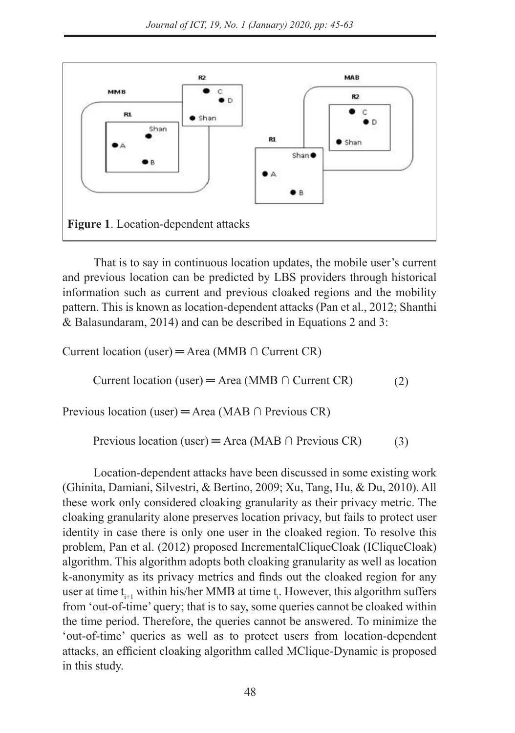

That is to say in continuous location updates, the mobile user's current and previous location can be predicted by LBS providers through historical information such as current and previous cloaked regions and the mobility pattern. This is known as location-dependent attacks (Pan et al., 2012; Shanthi & Balasundaram, 2014) and can be described in Equations 2 and 3:

Current location (user) = Area (MMB  $\cap$  Current CR)  $S$  sharthing  $S$  and  $S$  and  $S$  and  $S$  and  $S$  are described as  $S$ 

 (2) Current location (user) = Area (MMB ∩ Current CR) (2)

Previous location (user) = Area (MAB  $\cap$  Previous CR)  $\frac{1}{2}$ Previous location (user) ═ Area (MAB ∩ Previous CR) (3)

 (3) Previous location (user) = Area (MAB  $\cap$  Previous CR) (3)

Location-dependent attacks have been discussed in some existing work (Ghinita, Damiani, Silvestri, & Bertino, 2009; Xu, Tang, Hu, & Du, 2010). All these work only considered cloaking granularity as their privacy metric. The cloaking granularity alone preserves location privacy, but fails to protect user identity in case there is only one user in the cloaked region. To resolve this problem, Pan et al. (2012) proposed IncrementalCliqueCloak (ICliqueCloak) algorithm. This algorithm adopts both cloaking granularity as well as location  $k$ -anonymity as its privacy metrics and finds out the cloaked region for any  $k$ -anonymity as its privacy metrics and finds out the cloaked region for any where at time t<sub>i+1</sub> within his/her MMB at time t<sub>i</sub>. However, this algorithm suffers user at time t<sub>i+1</sub> within his/her MMB at time t<sub>i</sub>. from 'out-of-time' query; that is to say, some queries cannot be cloaked within the time period. Therefore, the queries cannot be answered. To minimize the 'out-of-time' queries as well as to protect users from location-dependent out of the queries as well as to protect assess from foculton dependent attacks, an efficient cloaking algorithm called MClique-Dynamic is proposed in this study.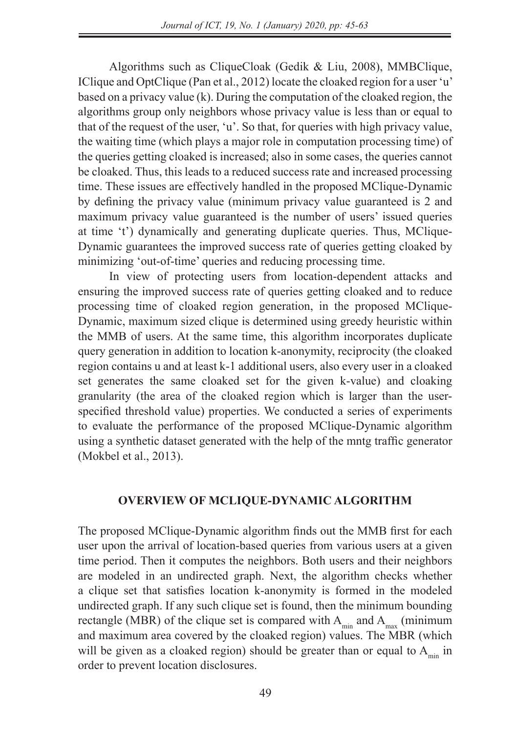Algorithms such as CliqueCloak (Gedik & Liu, 2008), MMBClique, IClique and OptClique (Pan et al., 2012) locate the cloaked region for a user 'u' based on a privacy value (k). During the computation of the cloaked region, the algorithms group only neighbors whose privacy value is less than or equal to that of the request of the user, 'u'. So that, for queries with high privacy value, the waiting time (which plays a major role in computation processing time) of the queries getting cloaked is increased; also in some cases, the queries cannot be cloaked. Thus, this leads to a reduced success rate and increased processing time. These issues are effectively handled in the proposed MClique-Dynamic by defining the privacy value (minimum privacy value guaranteed is 2 and maximum privacy value guaranteed is the number of users' issued queries at time 't') dynamically and generating duplicate queries. Thus, MClique-Dynamic guarantees the improved success rate of queries getting cloaked by minimizing 'out-of-time' queries and reducing processing time.

In view of protecting users from location-dependent attacks and ensuring the improved success rate of queries getting cloaked and to reduce processing time of cloaked region generation, in the proposed MClique-Dynamic, maximum sized clique is determined using greedy heuristic within the MMB of users. At the same time, this algorithm incorporates duplicate query generation in addition to location k-anonymity, reciprocity (the cloaked region contains u and at least k-1 additional users, also every user in a cloaked set generates the same cloaked set for the given k-value) and cloaking granularity (the area of the cloaked region which is larger than the userspecified threshold value) properties. We conducted a series of experiments to evaluate the performance of the proposed MClique-Dynamic algorithm using a synthetic dataset generated with the help of the mntg traffic generator (Mokbel et al., 2013).

## **OVERVIEW OF MCLIQUE-DYNAMIC ALGORITHM**

The proposed MClique-Dynamic algorithm finds out the MMB first for each user upon the arrival of location-based queries from various users at a given time period. Then it computes the neighbors. Both users and their neighbors are modeled in an undirected graph. Next, the algorithm checks whether a clique set that satisfies location k-anonymity is formed in the modeled undirected graph. If any such clique set is found, then the minimum bounding rectangle (MBR) of the clique set is compared with  $A_{min}$  and  $A_{max}$  (minimum and maximum area covered by the cloaked region) values. The MBR (which will be given as a cloaked region) should be greater than or equal to  $A_{min}$  in order to prevent location disclosures.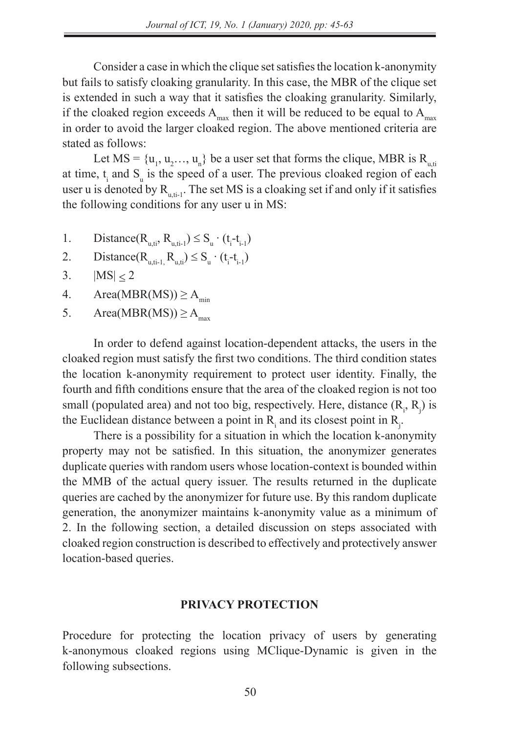Consider a case in which the clique set satisfies the location k-anonymity but fails to satisfy cloaking granularity. In this case, the MBR of the clique set is extended in such a way that it satisfies the cloaking granularity. Similarly, if the cloaked region exceeds  $A_{\text{max}}$  then it will be reduced to be equal to  $A_{\text{max}}$ in order to avoid the larger cloaked region. The above mentioned criteria are stated as follows:

Let  $MS = \{u_1, u_2, \ldots, u_n\}$  be a user set that forms the clique, MBR is  $R_{u, ti}$ at time,  $t_i$  and  $S_u$  is the speed of a user. The previous cloaked region of each user u is denoted by  $R_{u,t-1}$ . The set MS is a cloaking set if and only if it satisfies the following conditions for any user u in MS:

- 1. Distance( $R_{u, ti}$ ,  $R_{u, ti-1}$ )  $\leq S_u \cdot (t_i t_{i-1})$
- 2. Distance( $R_{u, ti-1, R_{u, ti}}$ )  $\leq S_u \cdot (t_i t_{i-1})$
- 3.  $|MS| < 2$
- 4. Area(MBR(MS))  $\geq$  A<sub>min</sub>
- 5. Area(MBR(MS))  $\geq$  A<sub>max</sub>

In order to defend against location-dependent attacks, the users in the cloaked region must satisfy the first two conditions. The third condition states the location k-anonymity requirement to protect user identity. Finally, the fourth and fifth conditions ensure that the area of the cloaked region is not too small (populated area) and not too big, respectively. Here, distance  $(R_i, R_j)$  is the Euclidean distance between a point in  $R$ <sub>i</sub> and its closest point in  $R$ <sub>j</sub>.

There is a possibility for a situation in which the location k-anonymity property may not be satisfied. In this situation, the anonymizer generates duplicate queries with random users whose location-context is bounded within the MMB of the actual query issuer. The results returned in the duplicate queries are cached by the anonymizer for future use. By this random duplicate generation, the anonymizer maintains k-anonymity value as a minimum of 2. In the following section, a detailed discussion on steps associated with cloaked region construction is described to effectively and protectively answer location-based queries.

### **PRIVACY PROTECTION**

Procedure for protecting the location privacy of users by generating k-anonymous cloaked regions using MClique-Dynamic is given in the following subsections.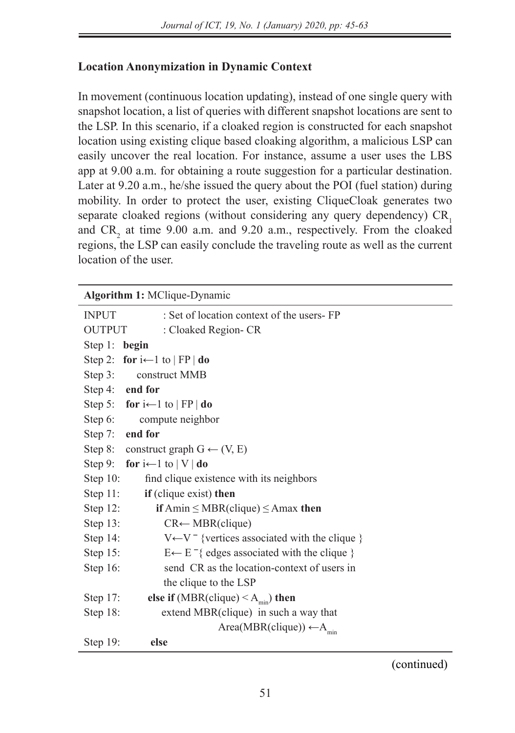# **Location Anonymization in Dynamic Context**

In movement (continuous location updating), instead of one single query with snapshot location, a list of queries with different snapshot locations are sent to the LSP. In this scenario, if a cloaked region is constructed for each snapshot location using existing clique based cloaking algorithm, a malicious LSP can easily uncover the real location. For instance, assume a user uses the LBS app at 9.00 a.m. for obtaining a route suggestion for a particular destination. Later at 9.20 a.m., he/she issued the query about the POI (fuel station) during mobility. In order to protect the user, existing CliqueCloak generates two separate cloaked regions (without considering any query dependency) CR<sub>1</sub> and  $CR_2$  at time 9.00 a.m. and 9.20 a.m., respectively. From the cloaked regions, the LSP can easily conclude the traveling route as well as the current location of the user.

| Algorithm 1: MClique-Dynamic                                             |  |  |
|--------------------------------------------------------------------------|--|--|
| : Set of location context of the users-FP<br><b>INPUT</b>                |  |  |
| <b>OUTPUT</b><br>: Cloaked Region- CR                                    |  |  |
| Step 1:<br>begin                                                         |  |  |
| Step 2: for $i \leftarrow 1$ to $ FP $ do                                |  |  |
| Step $3$ :<br>construct MMB                                              |  |  |
| Step 4: end for                                                          |  |  |
| Step 5: for $i \leftarrow 1$ to $ FP $ do                                |  |  |
| Step $6$ :<br>compute neighbor                                           |  |  |
| end for<br>Step $7:$                                                     |  |  |
| Step 8: construct graph $G \leftarrow (V, E)$                            |  |  |
| Step 9: for $i \leftarrow 1$ to $ V $ do                                 |  |  |
| Step $10$ :<br>find clique existence with its neighbors                  |  |  |
| Step $11$ :<br>if (clique exist) then                                    |  |  |
| Step $12$ :<br>if Amin $\leq$ MBR(clique) $\leq$ Amax then               |  |  |
| Step 13:<br>$CR \leftarrow MBR(clique)$                                  |  |  |
| $V \leftarrow V^-$ {vertices associated with the clique }<br>Step 14:    |  |  |
| $E \leftarrow E^{-}$ { edges associated with the clique }<br>Step $15$ : |  |  |
| Step 16:<br>send CR as the location-context of users in                  |  |  |
| the clique to the LSP                                                    |  |  |
| else if (MBR(clique) $\leq$ A <sub>min</sub> ) then<br>Step $17$ :       |  |  |
| Step $18$ :<br>extend MBR(clique) in such a way that                     |  |  |
| Area(MBR(clique)) $\leftarrow A_{\min}$                                  |  |  |
| Step $19$ :<br>else                                                      |  |  |

(continued)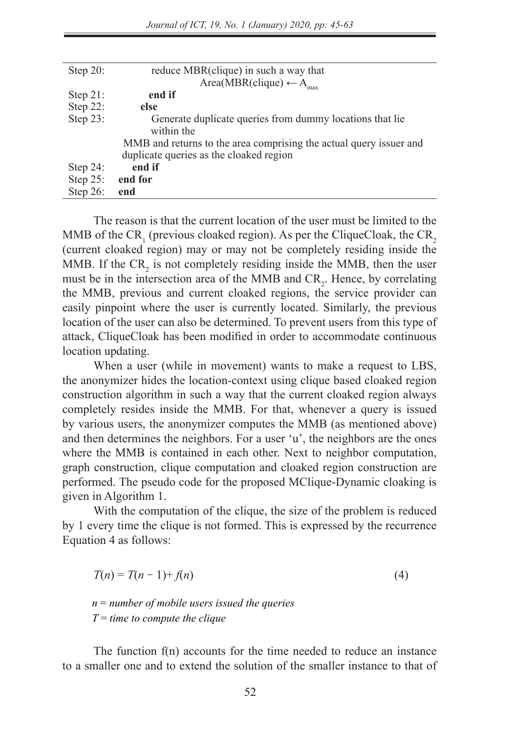| Step $20$ : | reduce MBR(clique) in such a way that                              |
|-------------|--------------------------------------------------------------------|
|             | Area(MBR(clique) $\leftarrow$ A <sub>max</sub>                     |
| Step $21$ : | end if                                                             |
| Step 22:    | else                                                               |
| Step 23:    | Generate duplicate queries from dummy locations that lie           |
|             | within the                                                         |
|             | MMB and returns to the area comprising the actual query issuer and |
|             | duplicate queries as the cloaked region                            |
| Step $24$ : | end if                                                             |
| Step $25$ : | end for                                                            |
| Step $26$ : | end                                                                |
|             |                                                                    |

The reason is that the current location of the user must be limited to the MMB of the CR<sub>1</sub> (previous cloaked region). As per the CliqueCloak, the CR<sub>2</sub> (current cloaked region) may or may not be completely residing inside the MMB. If the  $CR_2$  is not completely residing inside the MMB, then the user must be in the intersection area of the MMB and  $CR_2$ . Hence, by correlating the MMB, previous and current cloaked regions, the service provider can easily pinpoint where the user is currently located. Similarly, the previous location of the user can also be determined. To prevent users from this type of attack, CliqueCloak has been modified in order to accommodate continuous location updating.

When a user (while in movement) wants to make a request to LBS, the anonymizer hides the location-context using clique based cloaked region construction algorithm in such a way that the current cloaked region always completely resides inside the MMB. For that, whenever a query is issued by various users, the anonymizer computes the MMB (as mentioned above) and then determines the neighbors. For a user 'u', the neighbors are the ones where the MMB is contained in each other. Next to neighbor computation, graph construction, clique computation and cloaked region construction are performed. The pseudo code for the proposed MClique-Dynamic cloaking is given in Algorithm 1.

With the computation of the clique, the size of the problem is reduced by 1 every time the clique is not formed. This is expressed by the recurrence Equation 4 as follows:

$$
T(n) = T(n-1) + f(n) \tag{4}
$$

*n* = *number of mobile users issued the queries T* = *time to compute the clique* 

The function f(n) accounts for the time needed to reduce an instance to a smaller one and to extend the solution of the smaller instance to that of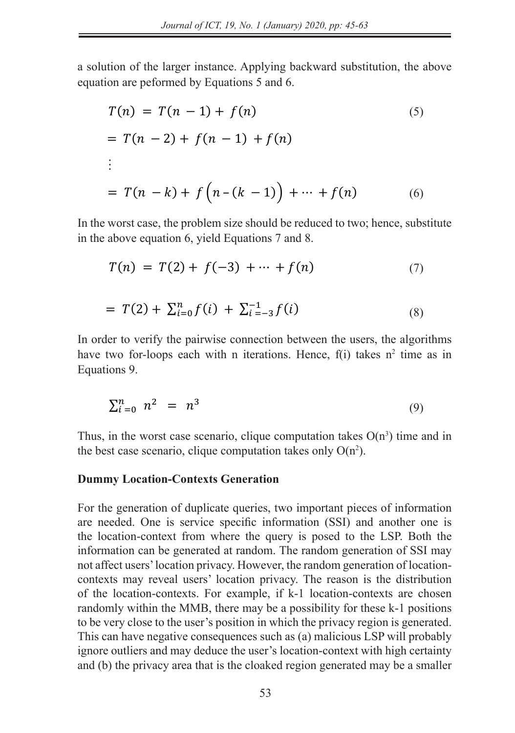The function f(n) accounts for the time needed to reduce an instance to a smaller one and to extend the

The function f(n) accounts for the time needed to reduce an instance to a smaller one and to extend the

substitution, the above equation becomes

a solution of the larger instance. Applying backward substitution, the above equation are peformed by Equations 5 and 6. substitution, the above equation becomes a solution of the larger instance. Applying backward substitution, the above

$$
T(n) = T(n - 1) + f(n)
$$
\n
$$
= T(n - 2) + f(n - 1) + f(n)
$$
\n
$$
= T(n - k) + f(n - (k - 1)) + \dots + f(n)
$$
\n(6)

In the worst case, the problem size should be reduced to two; hence, substitute in the above equation 6, yield Equations 7 and 8.  $\frac{1}{\sqrt{2}}$  in the problem size should be reduced to two; hence, substitute  $\frac{1}{\sqrt{2}}$  in the substitute  $\frac{1}{\sqrt{2}}$ In the worst case, the problem size should be reduced to two, hence, substitute  $\frac{1}{2}$  in the above equation 6  $\frac{1}{2}$  viald Equations 7 and 8

$$
T(n) = T(2) + f(-3) + \dots + f(n)
$$
 (7)

$$
= T(2) + \sum_{i=0}^{n} f(i) + \sum_{i=-3}^{-1} f(i)
$$
\n(8)

In order to verify the pairwise connection between the users, the algorithms have two for-loops each with n iterations. Hence,  $f(i)$  takes  $n^2$  time as in Equations 9.  $Equations 9.$  $I_{\rm{1}}$  order to verify the users, the algorithms have two for-loops each two for-loops each two for-loops each two for-loops each two for-loops each two for-loops each two for-loops each two for-loops each two for-loop  $\mu$  and the pairwise connection between the pairwise. The users in the algorithms have two for-loops each with foreignts. Hence,  $\mu(t)$  takes in the as in  $E$ quations.

$$
\sum_{i=0}^{n} n^2 = n^3 \tag{9}
$$

Thus, in the worst case scenario, clique computation takes  $O(n^3)$  time and in the heat age segments eligne computation takes  $O(n^2)$ the best case scenario, clique computation takes only  $O(n^2)$ . in the worst case scenario, clique computation takes  $O(n^2)$  time and in<br>st case scenario, clique computation takes only  $O(n^2)$  $T_{\rm eff}$  in the worst case scenario, clique computation takes  $\Delta$ the best case scenario, chque computation takes only  $O(n^2)$ . the best case scenario, clique Thus, in the worst case scenario, clique computation takes  $O(n^3)$  time and in the best case seems

#### **Dummy Location-Contexts Generation Dummy Location-Contexts Generation**  $T_{\text{max}}$  in the worst case scenario, clique computation takes  $C_{\text{max}}$  $\epsilon$ clique computation takes only O(n<sup>2</sup> **Dummy Location-Contexts Good**

For the generation of duplicate queries, two important pieces of information are needed. One is service specific information (SSI) and another one is the location-context from where the query is posed to the LSP. Both the information can be generated at random. The random generation of SSI may not affect users' location privacy. However, the random generation of locationcontexts may reveal users' location privacy. The random generation of location-<br>contexts may reveal users' location privacy. The reason is the distribution of the location-contexts. For example, if k-1 location-contexts are chosen of the location-contexts. For example, if  $k-1$  location-contexts are chosen randomly within the MMB, there may be a possibility for these  $k-1$  positions to be very close to the user's position in which the privacy region is generated. This can have negative consequences such as (a) malicious LSP will probably ins can have negative consequences such as (a) mancious EST will probably ignore outliers and may deduce the user's location-context with high certainty ignore outners and may deduce the user s'includion-context with high certainty<br>and (b) the privacy area that is the cloaked region generated may be a smaller **Dummy Location-Contexts Generation** randomly within the MMB, there may be a possibility for these k-1 positional ignore outliers and may deduce the user's location-context with high cert  $\vee$  to the user in which the privacy region is generated. This can have negative negative negative negative negative  $\mathcal{L}$ and (b) the privacy area that is the cloaked region generated may be a smaller contexts may reveal users' location privacy. The reason is the distribu  $\frac{1}{2}$  the location-context from where the query is posed to the LSD. Doth the  $\frac{1}{2}$ not affect users' location privacy. However, the random generation of location $r_{\text{r}}$  randomly within the MMB, there may be a possibility for these k-1 positions to be the state. ignore outliers and may deduce the user's location-context with high certainty  $\frac{1}{2}$  in another one information where the query is posed to the LSP. Both the location-context from where the query is posed to the LSP. contexts may reveal users' location privacy. The reason is the distribution randomly within the MMB there may be a possibility for these  $k-1$  nositions  $\frac{1}{2}$  can have negative consequences such as  $\left(\frac{u}{v}\right)$  indicated to the process is  $\frac{u}{v}$  in process,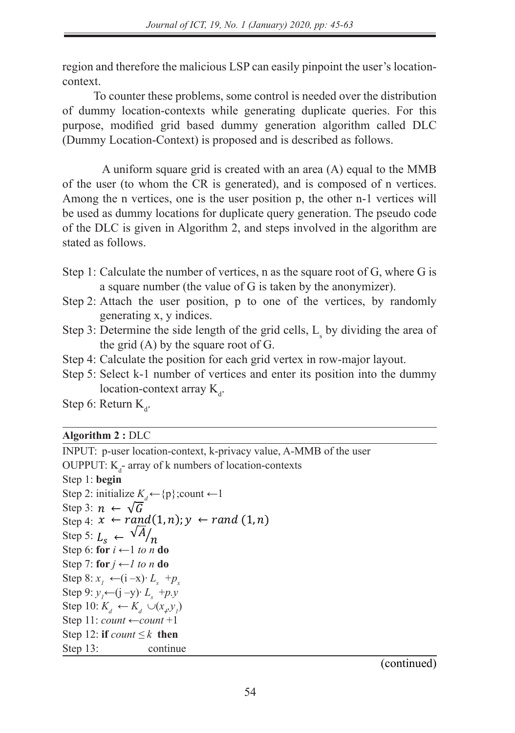region and therefore the malicious LSP can easily pinpoint the user's locationcontext.

To counter these problems, some control is needed over the distribution of dummy location-contexts while generating duplicate queries. For this purpose, modified grid based dummy generation algorithm called DLC (Dummy Location-Context) is proposed and is described as follows.

A uniform square grid is created with an area (A) equal to the MMB of the user (to whom the CR is generated), and is composed of n vertices. Among the n vertices, one is the user position p, the other n-1 vertices will be used as dummy locations for duplicate query generation. The pseudo code of the DLC is given in Algorithm 2, and steps involved in the algorithm are stated as follows.

- Step 1: Calculate the number of vertices, n as the square root of G, where G is a square number (the value of G is taken by the anonymizer).
- Step 2: Attach the user position, p to one of the vertices, by randomly generating x, y indices.
	- Step 3: Determine the side length of the grid cells,  $L_s$  by dividing the area of the grid  $(A)$  by the square root of  $G$ .
- Step 4: Calculate the position for each grid vertex in row-major layout.
	- Step 5: Select k-1 number of vertices and enter its position into the dummy location-context array K<sub>d</sub>. **Algorithm 2 C D**<sub>1</sub>*L***<sub>C</sub> <b>L**<sub>C</sub> *L***<sub>C</sub>**

Step 6: Return K<sub>d</sub>.

# $\overline{\text{Algorithm 2}: \text{DLC}}$

 $\frac{1}{\sqrt{2}}$  **i** 

Step 12: **if** ≤ **then**

INPUT: p-user location-context, k-privacy value, A-MMB of the user A-MMB of the user A-MMB of the user A-MMB of the user OUPPUT:  $K_d$ - array of k numbers of location-contexts Step 1: **begin** Step 1: **begin** Step 1: **begin** Step 1: **begin** Step 1: **Step 1: Step 1: Step 1: Step 1: Step 1: Step 2:** initialize  $K_d \leftarrow \{p\}$ ; count  $\leftarrow$  1 Step 3:  $n \leftarrow \sqrt{G}$ Step 4:  $x \leftarrow rand(1, n); y \leftarrow rand(1, n)$ Step 5:  $L_s \leftarrow \sqrt[A]{A}$ <br>Step 6: for  $i \leftarrow 1$  to re Step 5:  $L_s \leftarrow \frac{n}{n}$ <br>Step 6: for  $i \leftarrow 1$  *to n* do Step 7: **for**  $j \leftarrow l$  *to n* **do** Step 7: **for**  $f$  ← 1 **to** *n* **do**<br>Step 8:  $x_1$  ← (**i** −**x**)*•*  $L_s$  +  $p_x$ Step 9:  $y_1 \leftarrow (j - y) \cdot L_s + p \cdot y$ <br>Step 10:  $K \leftarrow K + p(x, y)$ Step  $9: y_1 \rightarrow y_2 \rightarrow s_3 \rightarrow p_3$ <br>Step 10:  $K_d \leftarrow K_d \cup (x_p y_j)$  $Step 10: R_d \rightarrow R_d \cup (x_p y_p)$ <br>Step 11: *count*  $\leftarrow count + 1$ Step 11:  $\frac{1}{\epsilon}$  Step 12: **if**  $\text{count} \leq k$  then **Step 13: continue**  $\text{Step 8. } x_1 \leftarrow (1-x)^2 L_s \leftarrow f_x$ <br>
Step 9:  $y \leftarrow (i-y) \cdot L + p_y$ 

(continued)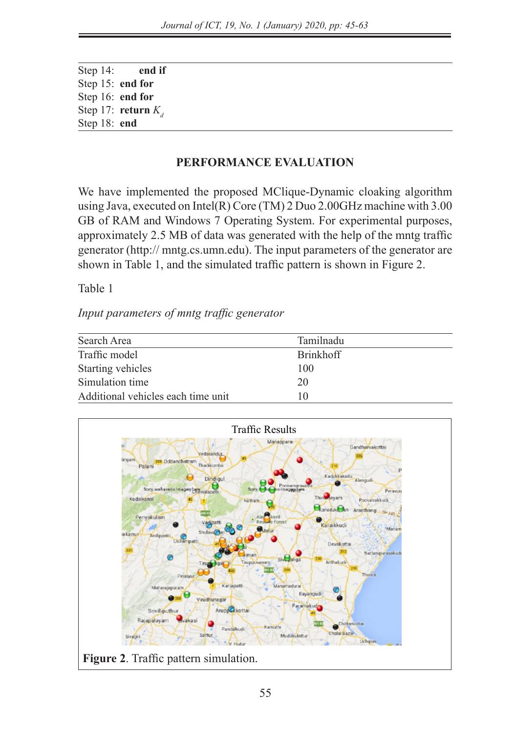Step 14: **end if** Step 15: **end for** Step 16: **end for** Step 17: **return**  $K_a$ Step 18: **end**

# **PERFORMANCE EVALUATION**

We have implemented the proposed MClique-Dynamic cloaking algorithm using Java, executed on Intel(R) Core (TM) 2 Duo 2.00GHz machine with 3.00 GB of RAM and Windows 7 Operating System. For experimental purposes, approximately 2.5 MB of data was generated with the help of the mntg traffic generator (http:// mntg.cs.umn.edu). The input parameters of the generator are shown in Table 1, and the simulated traffic pattern is shown in Figure 2.

Table 1

*Input parameters of mntg traffic generator*

| Search Area                        | Tamilnadu        |  |
|------------------------------------|------------------|--|
| Traffic model                      | <b>Brinkhoff</b> |  |
| Starting vehicles                  | 100              |  |
| Simulation time                    | 20               |  |
| Additional vehicles each time unit | 10               |  |

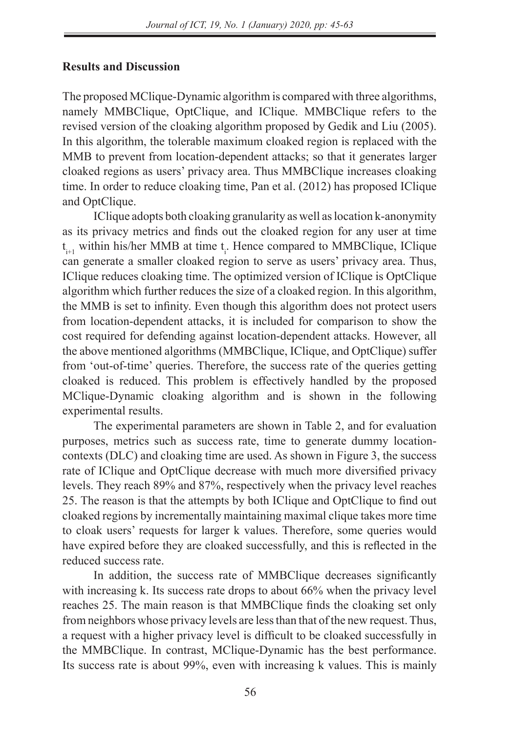# **Results and Discussion**

The proposed MClique-Dynamic algorithm is compared with three algorithms, namely MMBClique, OptClique, and IClique. MMBClique refers to the revised version of the cloaking algorithm proposed by Gedik and Liu (2005). In this algorithm, the tolerable maximum cloaked region is replaced with the MMB to prevent from location-dependent attacks; so that it generates larger cloaked regions as users' privacy area. Thus MMBClique increases cloaking time. In order to reduce cloaking time, Pan et al. (2012) has proposed IClique and OptClique.

IClique adopts both cloaking granularity as well as location k-anonymity as its privacy metrics and finds out the cloaked region for any user at time  $t_{i+1}$  within his/her MMB at time  $t_i$ . Hence compared to MMBClique, IClique can generate a smaller cloaked region to serve as users' privacy area. Thus, IClique reduces cloaking time. The optimized version of IClique is OptClique algorithm which further reduces the size of a cloaked region. In this algorithm, the MMB is set to infinity. Even though this algorithm does not protect users from location-dependent attacks, it is included for comparison to show the cost required for defending against location-dependent attacks. However, all the above mentioned algorithms (MMBClique, IClique, and OptClique) suffer from 'out-of-time' queries. Therefore, the success rate of the queries getting cloaked is reduced. This problem is effectively handled by the proposed MClique-Dynamic cloaking algorithm and is shown in the following experimental results.

The experimental parameters are shown in Table 2, and for evaluation purposes, metrics such as success rate, time to generate dummy locationcontexts (DLC) and cloaking time are used. As shown in Figure 3, the success rate of IClique and OptClique decrease with much more diversified privacy levels. They reach 89% and 87%, respectively when the privacy level reaches 25. The reason is that the attempts by both IClique and OptClique to find out cloaked regions by incrementally maintaining maximal clique takes more time to cloak users' requests for larger k values. Therefore, some queries would have expired before they are cloaked successfully, and this is reflected in the reduced success rate.

In addition, the success rate of MMBClique decreases significantly with increasing k. Its success rate drops to about 66% when the privacy level reaches 25. The main reason is that MMBClique finds the cloaking set only from neighbors whose privacy levels are less than that of the new request. Thus, a request with a higher privacy level is difficult to be cloaked successfully in the MMBClique. In contrast, MClique-Dynamic has the best performance. Its success rate is about 99%, even with increasing k values. This is mainly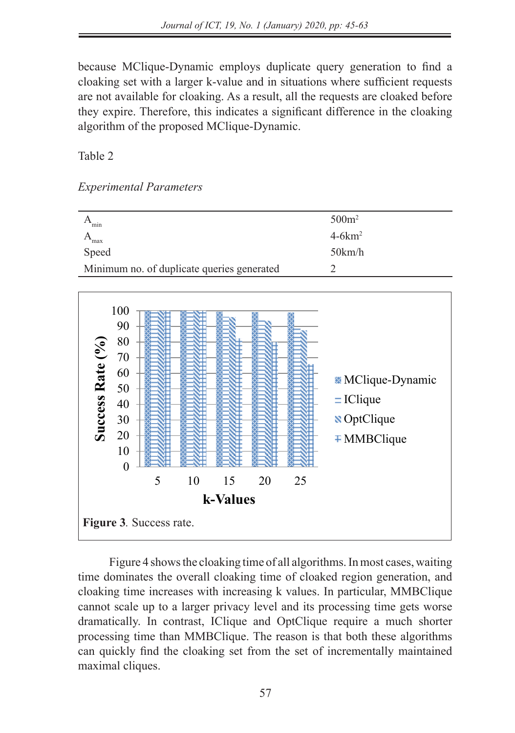because MClique-Dynamic employs duplicate query generation to find a cloaking set with a larger k-value and in situations where sufficient requests are not available for cloaking. As a result, all the requests are cloaked before they expire. Therefore, this indicates a significant difference in the cloaking algorithm of the proposed MClique-Dynamic.

Table 2

*Experimental Parameters*

| min                                        | 500m <sup>2</sup> |
|--------------------------------------------|-------------------|
| max                                        | $4-6km^2$         |
| Speed                                      | 50km/h            |
| Minimum no. of duplicate queries generated |                   |
|                                            |                   |



Figure 4 shows the cloaking time of all algorithms. In most cases, waiting time dominates the overall cloaking time of cloaked region generation, and cloaking time increases with increasing k values. In particular, MMBClique cannot scale up to a larger privacy level and its processing time gets worse dramatically. In contrast, IClique and OptClique require a much shorter processing time than MMBClique. The reason is that both these algorithms can quickly find the cloaking set from the set of incrementally maintained maximal cliques.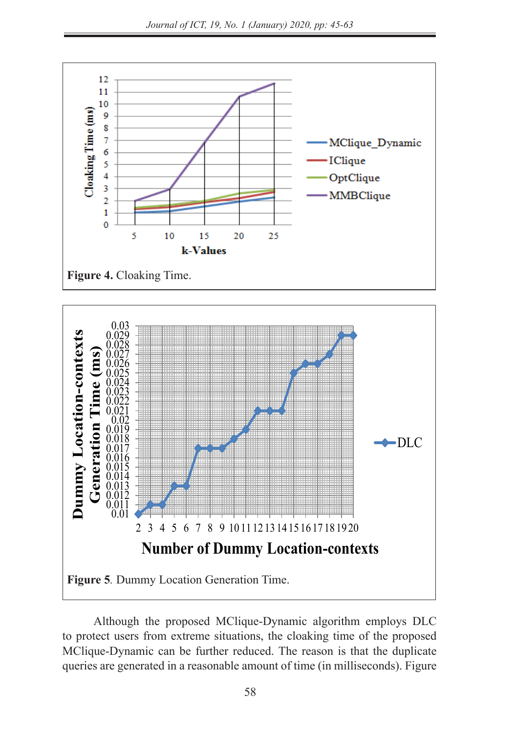significant difference in the cloaking algorithm of the proposed MClique-Dynamic.





Although the proposed MClique-Dynamic algorithm employs DLC to protect users from extreme situations, the cloaking time of the proposed MClique-Dynamic can be further reduced. The reason is that the duplicate queries are generated in a reasonable amount of time (in milliseconds). Figure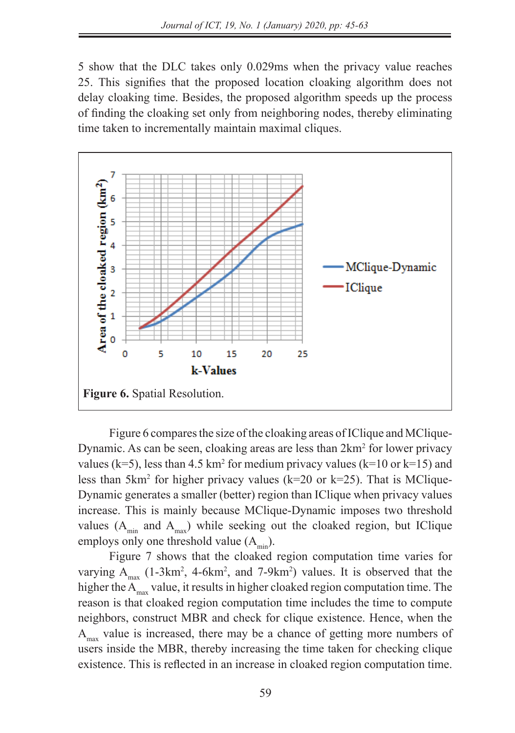5 show that the DLC takes only 0.029ms when the privacy value reaches 25. This signifies that the proposed location cloaking algorithm does not delay cloaking time. Besides, the proposed algorithm speeds up the process of finding the cloaking set only from neighboring nodes, thereby eliminating time taken to incrementally maintain maximal cliques.



Figure 6 compares the size of the cloaking areas of IClique and MClique-Dynamic. As can be seen, cloaking areas are less than  $2km^2$  for lower privacy  $\nu$ yhanne. As can be seen, cloaking areas are less than 2km<sup>2</sup> for lower privacy values (k=5), less than 4.5 km<sup>2</sup> for medium privacy values (k=10 or k=15) and less than  $5 \text{km}^2$  for higher privacy values (k=20 or k=25). That is MClique-Dynamic generates a smaller (better) region than IClique when privacy values increase. This is mainly because MClique-Dynamic imposes two threshold in the set of the set of the set of the seeking out of the seeking out of the set of the set of the set of the set of the set of the set of the set of values  $(A_{min}$  and  $A_{max}$ ) while seeking out the cloaked region, but IClique employs only one threshold value  $(A<sub>min</sub>)$ .

Figure 7 shows that the cloaked region computation time varies for varying  $A_{\text{max}}$  (1-3km<sup>2</sup>, 4-6km<sup>2</sup>, and 7-9km<sup>2</sup>) values. It is observed that the higher the  $A_{\text{max}}$  value, it results in higher cloaked region computation time. The reason is that cloaked region computation time includes the time to compute neighbors, construct MBR and check for clique existence. Hence, when the  $A<sub>max</sub>$  value is increased, there may be a chance of getting more numbers of users inside the MBR, thereby increasing the time taken for checking clique existence. This is reflected in an increase in cloaked region computation time.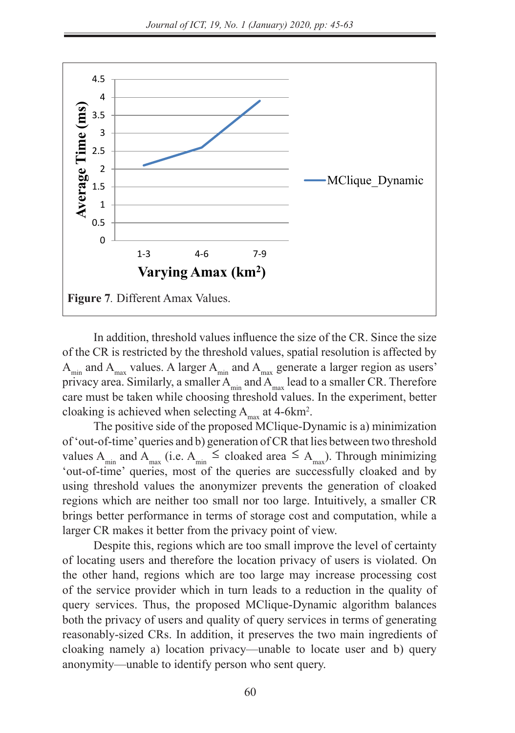

In addition, threshold values influence the size of the CR. Since the size of the CR is restricted by the threshold values, spatial resolution is affected by  $A_{\text{min}}$  and  $A_{\text{max}}$  values. A larger  $A_{\text{min}}$  and  $A_{\text{max}}$  generate a larger region as users' privacy area. Similarly, a smaller  $A_{\text{min}}$  and  $A_{\text{max}}$  lead to a smaller CR. Therefore care must be taken while choosing threshold values. In the experiment, better cloaking is achieved when selecting  $A_{\text{max}}$  at 4-6km<sup>2</sup>.

The positive side of the proposed MClique-Dynamic is a) minimization of 'out-of-time' queries and b) generation of CR that lies between two threshold values A<sub>min</sub> and A<sub>max</sub> (i.e. A<sub>min</sub>  $\leq$  cloaked area  $\leq$  A<sub>max</sub>). Through minimizing 'out-of-time' queries, most of the queries are successfully cloaked and by using threshold values the anonymizer prevents the generation of cloaked regions which are neither too small nor too large. Intuitively, a smaller CR brings better performance in terms of storage cost and computation, while a larger CR makes it better from the privacy point of view.

Despite this, regions which are too small improve the level of certainty of locating users and therefore the location privacy of users is violated. On the other hand, regions which are too large may increase processing cost of the service provider which in turn leads to a reduction in the quality of query services. Thus, the proposed MClique-Dynamic algorithm balances both the privacy of users and quality of query services in terms of generating reasonably-sized CRs. In addition, it preserves the two main ingredients of cloaking namely a) location privacy—unable to locate user and b) query anonymity—unable to identify person who sent query.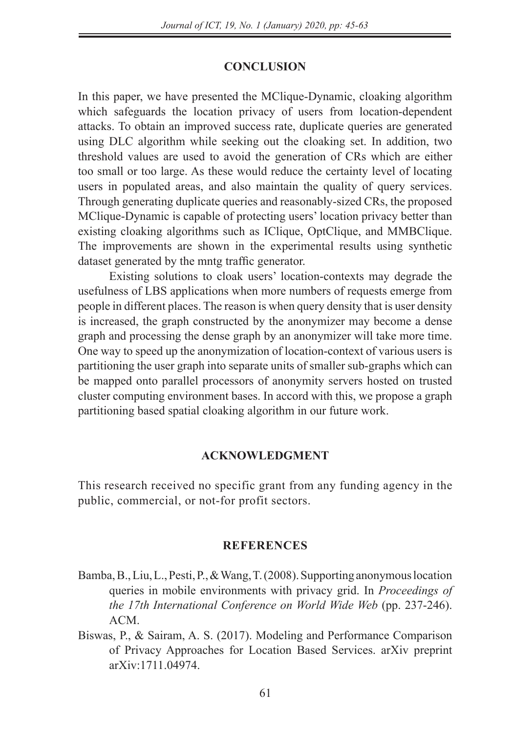### **CONCLUSION**

In this paper, we have presented the MClique-Dynamic, cloaking algorithm which safeguards the location privacy of users from location-dependent attacks. To obtain an improved success rate, duplicate queries are generated using DLC algorithm while seeking out the cloaking set. In addition, two threshold values are used to avoid the generation of CRs which are either too small or too large. As these would reduce the certainty level of locating users in populated areas, and also maintain the quality of query services. Through generating duplicate queries and reasonably-sized CRs, the proposed MClique-Dynamic is capable of protecting users' location privacy better than existing cloaking algorithms such as IClique, OptClique, and MMBClique. The improvements are shown in the experimental results using synthetic dataset generated by the mntg traffic generator.

Existing solutions to cloak users' location-contexts may degrade the usefulness of LBS applications when more numbers of requests emerge from people in different places. The reason is when query density that is user density is increased, the graph constructed by the anonymizer may become a dense graph and processing the dense graph by an anonymizer will take more time. One way to speed up the anonymization of location-context of various users is partitioning the user graph into separate units of smaller sub-graphs which can be mapped onto parallel processors of anonymity servers hosted on trusted cluster computing environment bases. In accord with this, we propose a graph partitioning based spatial cloaking algorithm in our future work.

## **ACKNOWLEDGMENT**

This research received no specific grant from any funding agency in the public, commercial, or not-for profit sectors.

## **REFERENCES**

- Bamba, B., Liu, L., Pesti, P., & Wang, T. (2008). Supporting anonymous location queries in mobile environments with privacy grid. In *Proceedings of the 17th International Conference on World Wide Web* (pp. 237-246). ACM.
- Biswas, P., & Sairam, A. S. (2017). Modeling and Performance Comparison of Privacy Approaches for Location Based Services. arXiv preprint arXiv:1711.04974.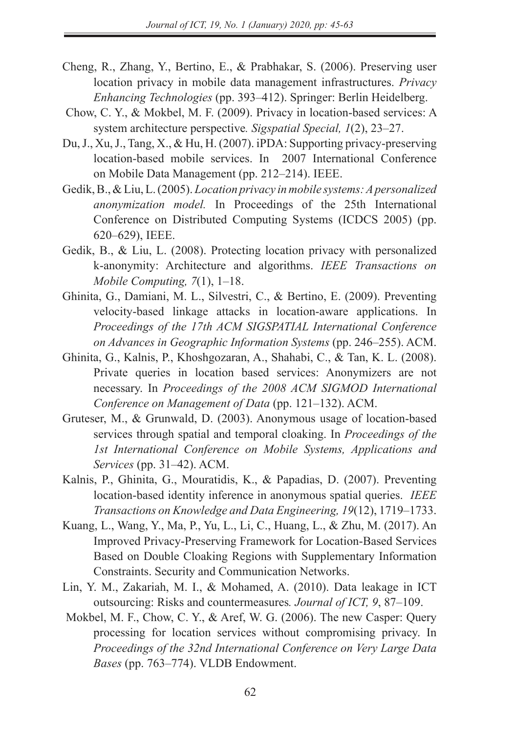- Cheng, R., Zhang, Y., Bertino, E., & Prabhakar, S. (2006). Preserving user location privacy in mobile data management infrastructures. *Privacy Enhancing Technologies* (pp. 393–412). Springer: Berlin Heidelberg.
- Chow, C. Y., & Mokbel, M. F. (2009). Privacy in location-based services: A system architecture perspective*. Sigspatial Special, 1*(2), 23–27.
- Du, J., Xu, J., Tang, X., & Hu, H. (2007). iPDA: Supporting privacy-preserving location-based mobile services. In 2007 International Conference on Mobile Data Management (pp. 212–214). IEEE.
- Gedik, B., & Liu, L. (2005). *Location privacy in mobile systems: A personalized anonymization model.* In Proceedings of the 25th International Conference on Distributed Computing Systems (ICDCS 2005) (pp. 620–629), IEEE.
- Gedik, B., & Liu, L. (2008). Protecting location privacy with personalized k-anonymity: Architecture and algorithms. *IEEE Transactions on Mobile Computing, 7*(1), 1–18.
- Ghinita, G., Damiani, M. L., Silvestri, C., & Bertino, E. (2009). Preventing velocity-based linkage attacks in location-aware applications. In *Proceedings of the 17th ACM SIGSPATIAL International Conference on Advances in Geographic Information Systems* (pp. 246–255). ACM.
- Ghinita, G., Kalnis, P., Khoshgozaran, A., Shahabi, C., & Tan, K. L. (2008). Private queries in location based services: Anonymizers are not necessary. In *Proceedings of the 2008 ACM SIGMOD International Conference on Management of Data* (pp. 121–132). ACM.
- Gruteser, M., & Grunwald, D. (2003). Anonymous usage of location-based services through spatial and temporal cloaking. In *Proceedings of the 1st International Conference on Mobile Systems, Applications and Services* (pp. 31–42). ACM.
- Kalnis, P., Ghinita, G., Mouratidis, K., & Papadias, D. (2007). Preventing location-based identity inference in anonymous spatial queries. *IEEE Transactions on Knowledge and Data Engineering, 19*(12), 1719–1733.
- Kuang, L., Wang, Y., Ma, P., Yu, L., Li, C., Huang, L., & Zhu, M. (2017). An Improved Privacy-Preserving Framework for Location-Based Services Based on Double Cloaking Regions with Supplementary Information Constraints. Security and Communication Networks.
- Lin, Y. M., Zakariah, M. I., & Mohamed, A. (2010). Data leakage in ICT outsourcing: Risks and countermeasures*. Journal of ICT, 9*, 87–109.
- Mokbel, M. F., Chow, C. Y., & Aref, W. G. (2006). The new Casper: Query processing for location services without compromising privacy. In *Proceedings of the 32nd International Conference on Very Large Data Bases* (pp. 763–774). VLDB Endowment.